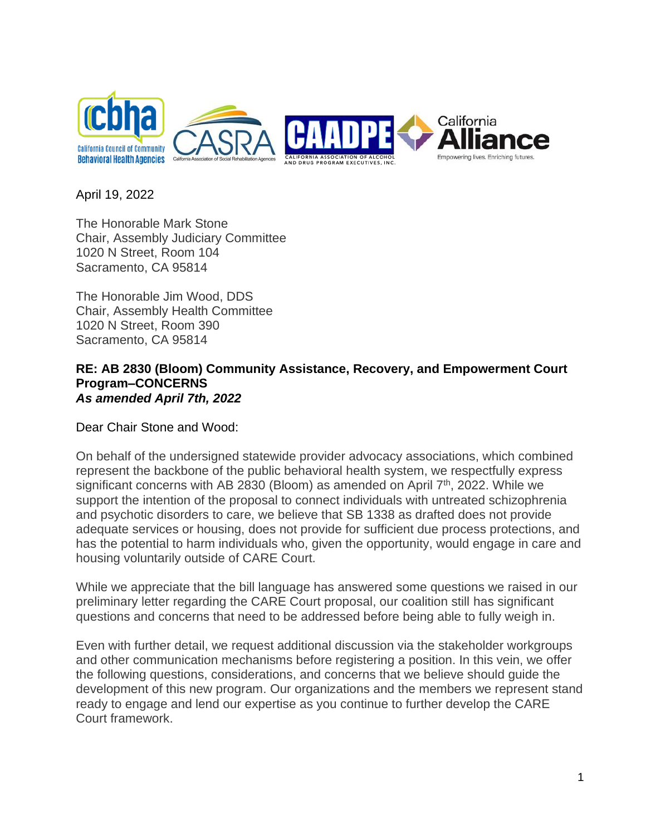

April 19, 2022

The Honorable Mark Stone Chair, Assembly Judiciary Committee 1020 N Street, Room 104 Sacramento, CA 95814

The Honorable Jim Wood, DDS Chair, Assembly Health Committee 1020 N Street, Room 390 Sacramento, CA 95814

## **RE: AB 2830 (Bloom) Community Assistance, Recovery, and Empowerment Court Program–CONCERNS** *As amended April 7th, 2022*

Dear Chair Stone and Wood:

On behalf of the undersigned statewide provider advocacy associations, which combined represent the backbone of the public behavioral health system, we respectfully express significant concerns with AB 2830 (Bloom) as amended on April 7<sup>th</sup>, 2022. While we support the intention of the proposal to connect individuals with untreated schizophrenia and psychotic disorders to care, we believe that SB 1338 as drafted does not provide adequate services or housing, does not provide for sufficient due process protections, and has the potential to harm individuals who, given the opportunity, would engage in care and housing voluntarily outside of CARE Court.

While we appreciate that the bill language has answered some questions we raised in our preliminary letter regarding the CARE Court proposal, our coalition still has significant questions and concerns that need to be addressed before being able to fully weigh in.

Even with further detail, we request additional discussion via the stakeholder workgroups and other communication mechanisms before registering a position. In this vein, we offer the following questions, considerations, and concerns that we believe should guide the development of this new program. Our organizations and the members we represent stand ready to engage and lend our expertise as you continue to further develop the CARE Court framework.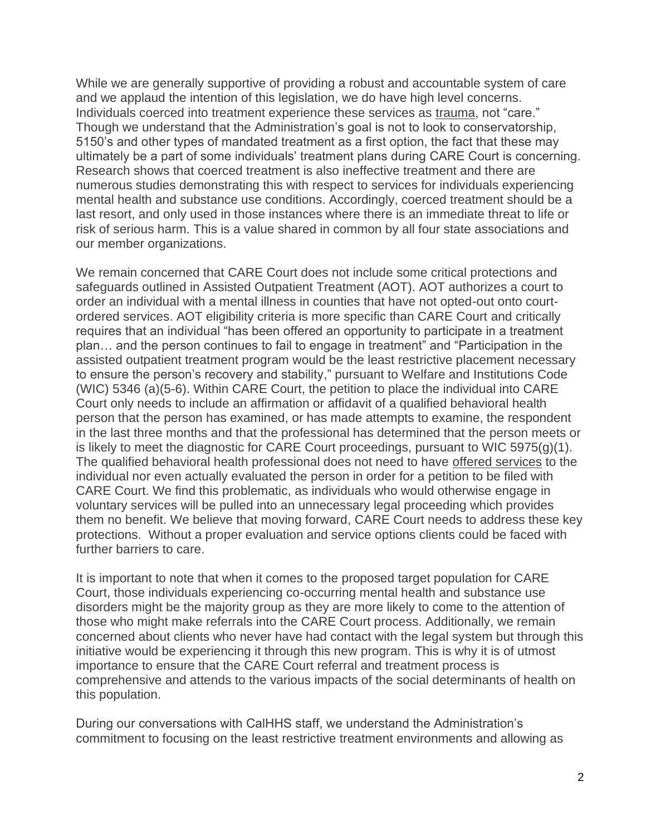While we are generally supportive of providing a robust and accountable system of care and we applaud the intention of this legislation, we do have high level concerns. Individuals coerced into treatment experience these services as trauma, not "care." Though we understand that the Administration's goal is not to look to conservatorship, 5150's and other types of mandated treatment as a first option, the fact that these may ultimately be a part of some individuals' treatment plans during CARE Court is concerning. Research shows that coerced treatment is also ineffective treatment and there are numerous studies demonstrating this with respect to services for individuals experiencing mental health and substance use conditions. Accordingly, coerced treatment should be a last resort, and only used in those instances where there is an immediate threat to life or risk of serious harm. This is a value shared in common by all four state associations and our member organizations.

We remain concerned that CARE Court does not include some critical protections and safeguards outlined in Assisted Outpatient Treatment (AOT). AOT authorizes a court to order an individual with a mental illness in counties that have not opted-out onto courtordered services. AOT eligibility criteria is more specific than CARE Court and critically requires that an individual "has been offered an opportunity to participate in a treatment plan… and the person continues to fail to engage in treatment" and "Participation in the assisted outpatient treatment program would be the least restrictive placement necessary to ensure the person's recovery and stability," pursuant to Welfare and Institutions Code (WIC) 5346 (a)(5-6). Within CARE Court, the petition to place the individual into CARE Court only needs to include an affirmation or affidavit of a qualified behavioral health person that the person has examined, or has made attempts to examine, the respondent in the last three months and that the professional has determined that the person meets or is likely to meet the diagnostic for CARE Court proceedings, pursuant to WIC 5975(g)(1). The qualified behavioral health professional does not need to have offered services to the individual nor even actually evaluated the person in order for a petition to be filed with CARE Court. We find this problematic, as individuals who would otherwise engage in voluntary services will be pulled into an unnecessary legal proceeding which provides them no benefit. We believe that moving forward, CARE Court needs to address these key protections. Without a proper evaluation and service options clients could be faced with further barriers to care.

It is important to note that when it comes to the proposed target population for CARE Court, those individuals experiencing co-occurring mental health and substance use disorders might be the majority group as they are more likely to come to the attention of those who might make referrals into the CARE Court process. Additionally, we remain concerned about clients who never have had contact with the legal system but through this initiative would be experiencing it through this new program. This is why it is of utmost importance to ensure that the CARE Court referral and treatment process is comprehensive and attends to the various impacts of the social determinants of health on this population.

During our conversations with CalHHS staff, we understand the Administration's commitment to focusing on the least restrictive treatment environments and allowing as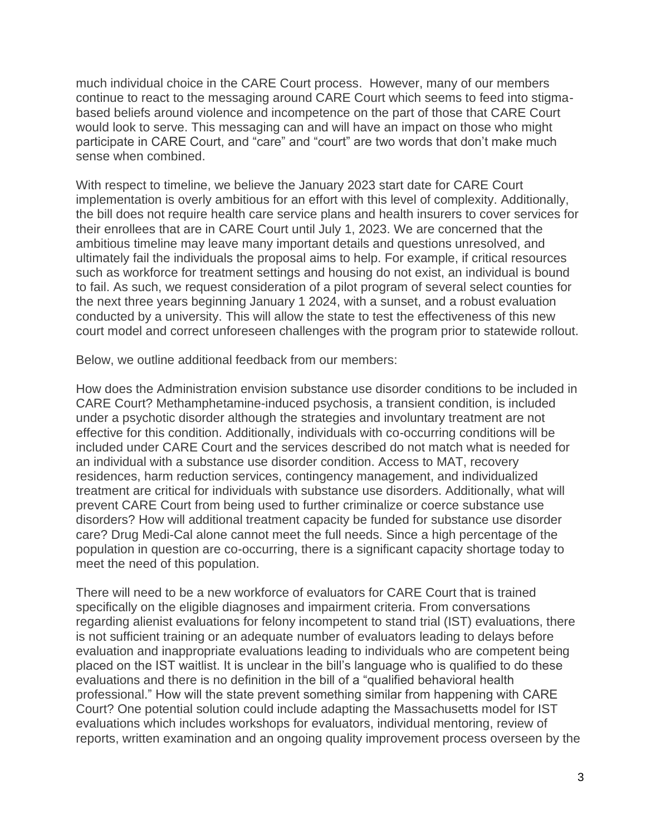much individual choice in the CARE Court process. However, many of our members continue to react to the messaging around CARE Court which seems to feed into stigmabased beliefs around violence and incompetence on the part of those that CARE Court would look to serve. This messaging can and will have an impact on those who might participate in CARE Court, and "care" and "court" are two words that don't make much sense when combined.

With respect to timeline, we believe the January 2023 start date for CARE Court implementation is overly ambitious for an effort with this level of complexity. Additionally, the bill does not require health care service plans and health insurers to cover services for their enrollees that are in CARE Court until July 1, 2023. We are concerned that the ambitious timeline may leave many important details and questions unresolved, and ultimately fail the individuals the proposal aims to help. For example, if critical resources such as workforce for treatment settings and housing do not exist, an individual is bound to fail. As such, we request consideration of a pilot program of several select counties for the next three years beginning January 1 2024, with a sunset, and a robust evaluation conducted by a university. This will allow the state to test the effectiveness of this new court model and correct unforeseen challenges with the program prior to statewide rollout.

Below, we outline additional feedback from our members:

How does the Administration envision substance use disorder conditions to be included in CARE Court? Methamphetamine-induced psychosis, a transient condition, is included under a psychotic disorder although the strategies and involuntary treatment are not effective for this condition. Additionally, individuals with co-occurring conditions will be included under CARE Court and the services described do not match what is needed for an individual with a substance use disorder condition. Access to MAT, recovery residences, harm reduction services, contingency management, and individualized treatment are critical for individuals with substance use disorders. Additionally, what will prevent CARE Court from being used to further criminalize or coerce substance use disorders? How will additional treatment capacity be funded for substance use disorder care? Drug Medi-Cal alone cannot meet the full needs. Since a high percentage of the population in question are co-occurring, there is a significant capacity shortage today to meet the need of this population.

There will need to be a new workforce of evaluators for CARE Court that is trained specifically on the eligible diagnoses and impairment criteria. From conversations regarding alienist evaluations for felony incompetent to stand trial (IST) evaluations, there is not sufficient training or an adequate number of evaluators leading to delays before evaluation and inappropriate evaluations leading to individuals who are competent being placed on the IST waitlist. It is unclear in the bill's language who is qualified to do these evaluations and there is no definition in the bill of a "qualified behavioral health professional." How will the state prevent something similar from happening with CARE Court? One potential solution could include adapting the Massachusetts model for IST evaluations which includes workshops for evaluators, individual mentoring, review of reports, written examination and an ongoing quality improvement process overseen by the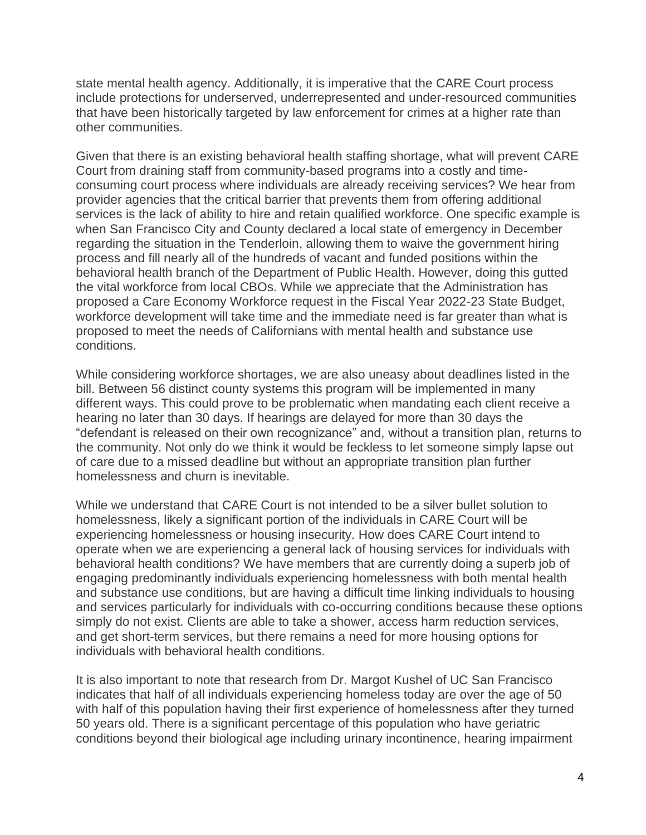state mental health agency. Additionally, it is imperative that the CARE Court process include protections for underserved, underrepresented and under-resourced communities that have been historically targeted by law enforcement for crimes at a higher rate than other communities.

Given that there is an existing behavioral health staffing shortage, what will prevent CARE Court from draining staff from community-based programs into a costly and timeconsuming court process where individuals are already receiving services? We hear from provider agencies that the critical barrier that prevents them from offering additional services is the lack of ability to hire and retain qualified workforce. One specific example is when San Francisco City and County declared a local state of emergency in December regarding the situation in the Tenderloin, allowing them to waive the government hiring process and fill nearly all of the hundreds of vacant and funded positions within the behavioral health branch of the Department of Public Health. However, doing this gutted the vital workforce from local CBOs. While we appreciate that the Administration has proposed a Care Economy Workforce request in the Fiscal Year 2022-23 State Budget, workforce development will take time and the immediate need is far greater than what is proposed to meet the needs of Californians with mental health and substance use conditions.

While considering workforce shortages, we are also uneasy about deadlines listed in the bill. Between 56 distinct county systems this program will be implemented in many different ways. This could prove to be problematic when mandating each client receive a hearing no later than 30 days. If hearings are delayed for more than 30 days the "defendant is released on their own recognizance" and, without a transition plan, returns to the community. Not only do we think it would be feckless to let someone simply lapse out of care due to a missed deadline but without an appropriate transition plan further homelessness and churn is inevitable.

While we understand that CARE Court is not intended to be a silver bullet solution to homelessness, likely a significant portion of the individuals in CARE Court will be experiencing homelessness or housing insecurity. How does CARE Court intend to operate when we are experiencing a general lack of housing services for individuals with behavioral health conditions? We have members that are currently doing a superb job of engaging predominantly individuals experiencing homelessness with both mental health and substance use conditions, but are having a difficult time linking individuals to housing and services particularly for individuals with co-occurring conditions because these options simply do not exist. Clients are able to take a shower, access harm reduction services, and get short-term services, but there remains a need for more housing options for individuals with behavioral health conditions.

It is also important to note that research from Dr. Margot Kushel of UC San Francisco indicates that half of all individuals experiencing homeless today are over the age of 50 with half of this population having their first experience of homelessness after they turned 50 years old. There is a significant percentage of this population who have geriatric conditions beyond their biological age including urinary incontinence, hearing impairment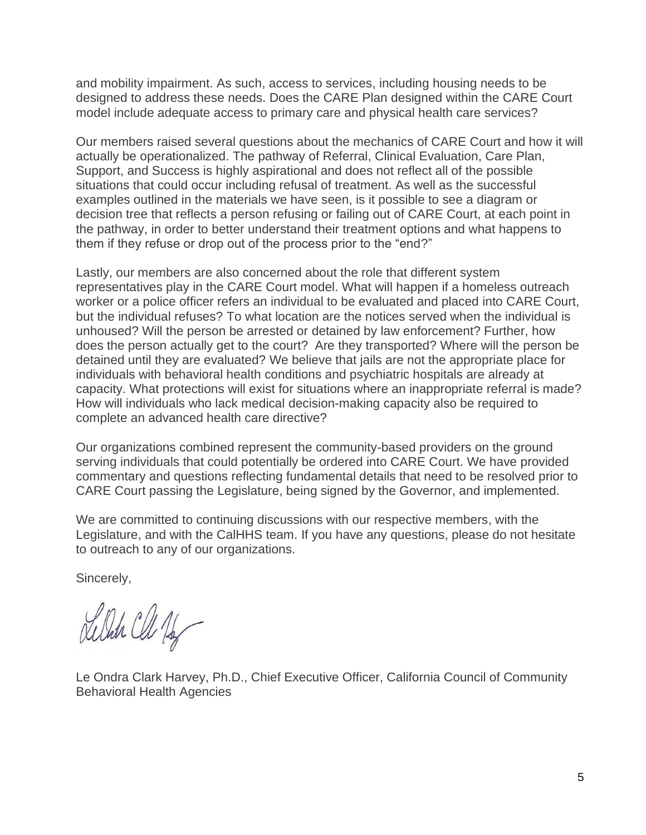and mobility impairment. As such, access to services, including housing needs to be designed to address these needs. Does the CARE Plan designed within the CARE Court model include adequate access to primary care and physical health care services?

Our members raised several questions about the mechanics of CARE Court and how it will actually be operationalized. The pathway of Referral, Clinical Evaluation, Care Plan, Support, and Success is highly aspirational and does not reflect all of the possible situations that could occur including refusal of treatment. As well as the successful examples outlined in the materials we have seen, is it possible to see a diagram or decision tree that reflects a person refusing or failing out of CARE Court, at each point in the pathway, in order to better understand their treatment options and what happens to them if they refuse or drop out of the process prior to the "end?"

Lastly, our members are also concerned about the role that different system representatives play in the CARE Court model. What will happen if a homeless outreach worker or a police officer refers an individual to be evaluated and placed into CARE Court, but the individual refuses? To what location are the notices served when the individual is unhoused? Will the person be arrested or detained by law enforcement? Further, how does the person actually get to the court? Are they transported? Where will the person be detained until they are evaluated? We believe that jails are not the appropriate place for individuals with behavioral health conditions and psychiatric hospitals are already at capacity. What protections will exist for situations where an inappropriate referral is made? How will individuals who lack medical decision-making capacity also be required to complete an advanced health care directive?

Our organizations combined represent the community-based providers on the ground serving individuals that could potentially be ordered into CARE Court. We have provided commentary and questions reflecting fundamental details that need to be resolved prior to CARE Court passing the Legislature, being signed by the Governor, and implemented.

We are committed to continuing discussions with our respective members, with the Legislature, and with the CalHHS team. If you have any questions, please do not hesitate to outreach to any of our organizations.

Sincerely,

Delate Cle 1/2

Le Ondra Clark Harvey, Ph.D., Chief Executive Officer, California Council of Community Behavioral Health Agencies